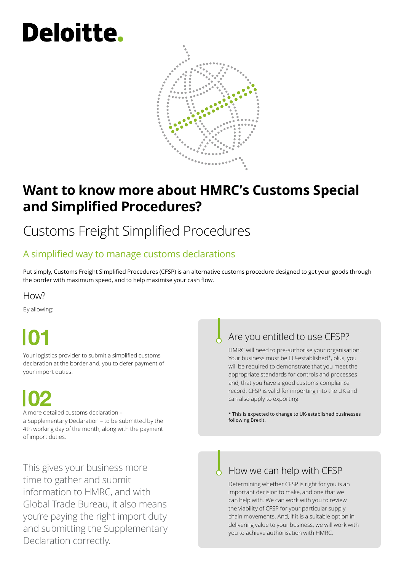# **Deloitte.**



## **Want to know more about HMRC's Customs Special and Simplified Procedures?**

# Customs Freight Simplified Procedures

#### A simplified way to manage customs declarations

Put simply, Customs Freight Simplified Procedures (CFSP) is an alternative customs procedure designed to get your goods through the border with maximum speed, and to help maximise your cash flow.

#### H<sub>OW</sub>?

By allowing:

Your logistics provider to submit a simplified customs declaration at the border and, you to defer payment of your import duties.

A more detailed customs declaration – a Supplementary Declaration – to be submitted by the 4th working day of the month, along with the payment of import duties.

This gives your business more time to gather and submit information to HMRC, and with Global Trade Bureau, it also means you're paying the right import duty and submitting the Supplementary Declaration correctly.

### Are you entitled to use CFSP?

HMRC will need to pre‑authorise your organisation. Your business must be EU‑established\*, plus, you will be required to demonstrate that you meet the appropriate standards for controls and processes and, that you have a good customs compliance record. CFSP is valid for importing into the UK and can also apply to exporting.

\* This is expected to change to UK‑established businesses following Brexit.

#### How we can help with CFSP

Determining whether CFSP is right for you is an important decision to make, and one that we can help with. We can work with you to review the viability of CFSP for your particular supply chain movements. And, if it is a suitable option in delivering value to your business, we will work with you to achieve authorisation with HMRC.